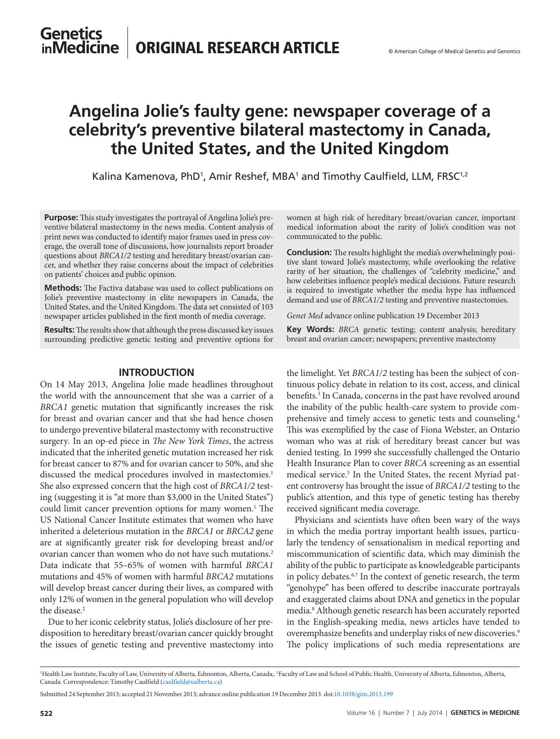### **Genetics** inMedicine ORIGINAL RESEARCH ARTICLE

# **Angelina Jolie's faulty gene: newspaper coverage of a celebrity's preventive bilateral mastectomy in Canada, the United States, and the United Kingdom**

Kalina Kamenova, PhD<sup>1</sup>, Amir Reshef, MBA<sup>1</sup> and Timothy Caulfield, LLM, FRSC<sup>1,2</sup>

**Purpose:** This study investigates the portrayal of Angelina Jolie's preventive bilateral mastectomy in the news media. Content analysis of print news was conducted to identify major frames used in press coverage, the overall tone of discussions, how journalists report broader questions about *BRCA1/2* testing and hereditary breast/ovarian cancer, and whether they raise concerns about the impact of celebrities on patients' choices and public opinion.

**Methods:** The Factiva database was used to collect publications on Jolie's preventive mastectomy in elite newspapers in Canada, the United States, and the United Kingdom. The data set consisted of 103 newspaper articles published in the first month of media coverage.

**Results:** The results show that although the press discussed key issues surrounding predictive genetic testing and preventive options for

### **introduction**

On 14 May 2013, Angelina Jolie made headlines throughout the world with the announcement that she was a carrier of a *BRCA1* genetic mutation that significantly increases the risk for breast and ovarian cancer and that she had hence chosen to undergo preventive bilateral mastectomy with reconstructive surgery. In an op-ed piece in *The New York Times*, the actress indicated that the inherited genetic mutation increased her risk for breast cancer to 87% and for ovarian cancer to 50%, and she discussed the medical procedures involved in mastectomies.<sup>1</sup> She also expressed concern that the high cost of *BRCA1/2* testing (suggesting it is "at more than \$3,000 in the United States") could limit cancer prevention options for many women.<sup>1</sup> The US National Cancer Institute estimates that women who have inherited a deleterious mutation in the *BRCA1* or *BRCA2* gene are at significantly greater risk for developing breast and/or ovarian cancer than women who do not have such mutations.2 Data indicate that 55–65% of women with harmful *BRCA1* mutations and 45% of women with harmful *BRCA2* mutations will develop breast cancer during their lives, as compared with only 12% of women in the general population who will develop the disease.<sup>2</sup>

Due to her iconic celebrity status, Jolie's disclosure of her predisposition to hereditary breast/ovarian cancer quickly brought the issues of genetic testing and preventive mastectomy into

women at high risk of hereditary breast/ovarian cancer, important medical information about the rarity of Jolie's condition was not communicated to the public.

**Conclusion:** The results highlight the media's overwhelmingly positive slant toward Jolie's mastectomy, while overlooking the relative rarity of her situation, the challenges of "celebrity medicine," and how celebrities influence people's medical decisions. Future research is required to investigate whether the media hype has influenced demand and use of *BRCA1/2* testing and preventive mastectomies.

*Genet Med* advance online publication 19 December 2013

**Key Words:** *BRCA* genetic testing; content analysis; hereditary breast and ovarian cancer; newspapers; preventive mastectomy

the limelight. Yet *BRCA1/2* testing has been the subject of continuous policy debate in relation to its cost, access, and clinical benefits.<sup>3</sup> In Canada, concerns in the past have revolved around the inability of the public health-care system to provide comprehensive and timely access to genetic tests and counseling.<sup>4</sup> This was exemplified by the case of Fiona Webster, an Ontario woman who was at risk of hereditary breast cancer but was denied testing. In 1999 she successfully challenged the Ontario Health Insurance Plan to cover *BRCA* screening as an essential medical service.<sup>5</sup> In the United States, the recent Myriad patent controversy has brought the issue of *BRCA1/2* testing to the public's attention, and this type of genetic testing has thereby received significant media coverage.

Physicians and scientists have often been wary of the ways in which the media portray important health issues, particularly the tendency of sensationalism in medical reporting and miscommunication of scientific data, which may diminish the ability of the public to participate as knowledgeable participants in policy debates.<sup>6,7</sup> In the context of genetic research, the term "genohype" has been offered to describe inaccurate portrayals and exaggerated claims about DNA and genetics in the popular media.8 Although genetic research has been accurately reported in the English-speaking media, news articles have tended to overemphasize benefits and underplay risks of new discoveries.<sup>9</sup> The policy implications of such media representations are

<sup>&</sup>lt;sup>1</sup>Health Law Institute, Faculty of Law, University of Alberta, Edmonton, Alberta, Canada;. <sup>2</sup>Faculty of Law and School of Public Health, University of Alberta, Edmonton, Alberta, Canada. Correspondence: Timothy Caulfield ([caulfield@ualberta.ca](mailto:caulfield@ualberta.ca))

Submitted 24 September 2013; accepted 21 November 2013; advance online publication 19 December 2013. doi[:10.1038/gim.2013.199](http://www.nature.com/doifinder/10.1038/gim.2013.199)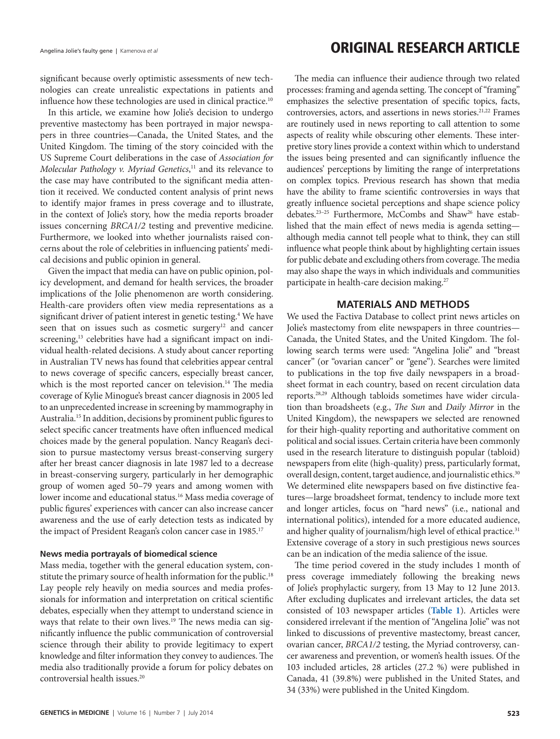## Angelina Jolie's faulty gene | Kamenova *et al* **Camenova et al Conserver Article Examenova** et al **Conserver Article Article Article Article Article Article Article Article Article Article Article Article Article Article**

significant because overly optimistic assessments of new technologies can create unrealistic expectations in patients and influence how these technologies are used in clinical practice.<sup>10</sup>

In this article, we examine how Jolie's decision to undergo preventive mastectomy has been portrayed in major newspapers in three countries—Canada, the United States, and the United Kingdom. The timing of the story coincided with the US Supreme Court deliberations in the case of *Association for Molecular Pathology v. Myriad Genetics*, 11 and its relevance to the case may have contributed to the significant media attention it received. We conducted content analysis of print news to identify major frames in press coverage and to illustrate, in the context of Jolie's story, how the media reports broader issues concerning *BRCA1/2* testing and preventive medicine. Furthermore, we looked into whether journalists raised concerns about the role of celebrities in influencing patients' medical decisions and public opinion in general.

Given the impact that media can have on public opinion, policy development, and demand for health services, the broader implications of the Jolie phenomenon are worth considering. Health-care providers often view media representations as a significant driver of patient interest in genetic testing.<sup>4</sup> We have seen that on issues such as cosmetic surgery<sup>12</sup> and cancer screening,<sup>13</sup> celebrities have had a significant impact on individual health-related decisions. A study about cancer reporting in Australian TV news has found that celebrities appear central to news coverage of specific cancers, especially breast cancer, which is the most reported cancer on television.<sup>14</sup> The media coverage of Kylie Minogue's breast cancer diagnosis in 2005 led to an unprecedented increase in screening by mammography in Australia.15 In addition, decisions by prominent public figures to select specific cancer treatments have often influenced medical choices made by the general population. Nancy Reagan's decision to pursue mastectomy versus breast-conserving surgery after her breast cancer diagnosis in late 1987 led to a decrease in breast-conserving surgery, particularly in her demographic group of women aged 50–79 years and among women with lower income and educational status.<sup>16</sup> Mass media coverage of public figures' experiences with cancer can also increase cancer awareness and the use of early detection tests as indicated by the impact of President Reagan's colon cancer case in 1985.<sup>17</sup>

### **News media portrayals of biomedical science**

Mass media, together with the general education system, constitute the primary source of health information for the public.<sup>18</sup> Lay people rely heavily on media sources and media professionals for information and interpretation on critical scientific debates, especially when they attempt to understand science in ways that relate to their own lives.<sup>19</sup> The news media can significantly influence the public communication of controversial science through their ability to provide legitimacy to expert knowledge and filter information they convey to audiences. The media also traditionally provide a forum for policy debates on controversial health issues.<sup>20</sup>

The media can influence their audience through two related processes: framing and agenda setting. The concept of "framing" emphasizes the selective presentation of specific topics, facts, controversies, actors, and assertions in news stories.<sup>21,22</sup> Frames are routinely used in news reporting to call attention to some aspects of reality while obscuring other elements. These interpretive story lines provide a context within which to understand the issues being presented and can significantly influence the audiences' perceptions by limiting the range of interpretations on complex topics. Previous research has shown that media have the ability to frame scientific controversies in ways that greatly influence societal perceptions and shape science policy debates.<sup>23-25</sup> Furthermore, McCombs and Shaw<sup>26</sup> have established that the main effect of news media is agenda setting although media cannot tell people what to think, they can still influence what people think about by highlighting certain issues for public debate and excluding others from coverage. The media may also shape the ways in which individuals and communities participate in health-care decision making.<sup>27</sup>

### **MATERIALS AND METHODS**

We used the Factiva Database to collect print news articles on Jolie's mastectomy from elite newspapers in three countries— Canada, the United States, and the United Kingdom. The following search terms were used: "Angelina Jolie" and "breast cancer" (or "ovarian cancer" or "gene"). Searches were limited to publications in the top five daily newspapers in a broadsheet format in each country, based on recent circulation data reports.<sup>28,29</sup> Although tabloids sometimes have wider circulation than broadsheets (e.g., *The Sun* and *Daily Mirror* in the United Kingdom), the newspapers we selected are renowned for their high-quality reporting and authoritative comment on political and social issues. Certain criteria have been commonly used in the research literature to distinguish popular (tabloid) newspapers from elite (high-quality) press, particularly format, overall design, content, target audience, and journalistic ethics.<sup>30</sup> We determined elite newspapers based on five distinctive features—large broadsheet format, tendency to include more text and longer articles, focus on "hard news" (i.e., national and international politics), intended for a more educated audience, and higher quality of journalism/high level of ethical practice.<sup>31</sup> Extensive coverage of a story in such prestigious news sources can be an indication of the media salience of the issue.

The time period covered in the study includes 1 month of press coverage immediately following the breaking news of Jolie's prophylactic surgery, from 13 May to 12 June 2013. After excluding duplicates and irrelevant articles, the data set consisted of 103 newspaper articles (**[Table 1](#page-2-0)**). Articles were considered irrelevant if the mention of "Angelina Jolie" was not linked to discussions of preventive mastectomy, breast cancer, ovarian cancer, *BRCA1/2* testing, the Myriad controversy, cancer awareness and prevention, or women's health issues. Of the 103 included articles, 28 articles (27.2 %) were published in Canada, 41 (39.8%) were published in the United States, and 34 (33%) were published in the United Kingdom.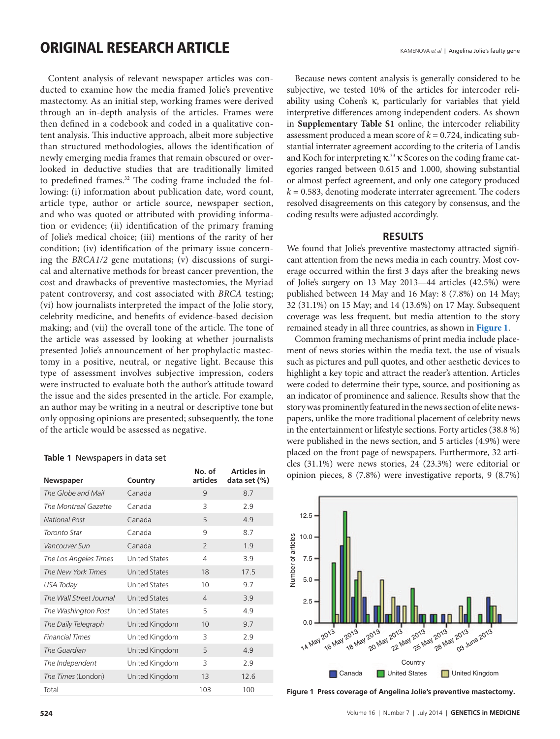## **ORIGINAL RESEARCH ARTICLE**

Content analysis of relevant newspaper articles was conducted to examine how the media framed Jolie's preventive mastectomy. As an initial step, working frames were derived through an in-depth analysis of the articles. Frames were then defined in a codebook and coded in a qualitative content analysis. This inductive approach, albeit more subjective than structured methodologies, allows the identification of newly emerging media frames that remain obscured or overlooked in deductive studies that are traditionally limited to predefined frames.<sup>32</sup> The coding frame included the following: (i) information about publication date, word count, article type, author or article source, newspaper section, and who was quoted or attributed with providing information or evidence; (ii) identification of the primary framing of Jolie's medical choice; (iii) mentions of the rarity of her condition; (iv) identification of the primary issue concerning the *BRCA1/2* gene mutations; (v) discussions of surgical and alternative methods for breast cancer prevention, the cost and drawbacks of preventive mastectomies, the Myriad patent controversy, and cost associated with *BRCA* testing; (vi) how journalists interpreted the impact of the Jolie story, celebrity medicine, and benefits of evidence-based decision making; and (vii) the overall tone of the article. The tone of the article was assessed by looking at whether journalists presented Jolie's announcement of her prophylactic mastectomy in a positive, neutral, or negative light. Because this type of assessment involves subjective impression, coders were instructed to evaluate both the author's attitude toward the issue and the sides presented in the article. For example, an author may be writing in a neutral or descriptive tone but only opposing opinions are presented; subsequently, the tone of the article would be assessed as negative.

#### <span id="page-2-0"></span>**Table 1** Newspapers in data set

| Newspaper               | Country              | No. of<br>articles | Articles in<br>data set (%) |
|-------------------------|----------------------|--------------------|-----------------------------|
| The Globe and Mail      | Canada               | 9                  | 8.7                         |
| The Montreal Gazette    | Canada               | 3                  | 2.9                         |
| <b>National Post</b>    | Canada               | 5                  | 4.9                         |
| Toronto Star            | Canada               | 9                  | 8.7                         |
| Vancouver Sun           | Canada               | $\overline{2}$     | 1.9                         |
| The Los Angeles Times   | <b>United States</b> | $\overline{4}$     | 3.9                         |
| The New York Times      | <b>United States</b> | 18                 | 17.5                        |
| USA Today               | <b>United States</b> | 10                 | 9.7                         |
| The Wall Street Journal | <b>United States</b> | $\overline{4}$     | 3.9                         |
| The Washington Post     | <b>United States</b> | 5                  | 4.9                         |
| The Daily Telegraph     | United Kingdom       | 10                 | 9.7                         |
| <b>Financial Times</b>  | United Kingdom       | 3                  | 2.9                         |
| The Guardian            | United Kingdom       | 5                  | 4.9                         |
| The Independent         | United Kingdom       | 3                  | 2.9                         |
| The Times (London)      | United Kingdom       | 13                 | 12.6                        |
| Total                   |                      | 103                | 100                         |

Because news content analysis is generally considered to be subjective, we tested 10% of the articles for intercoder reliability using Cohen's κ, particularly for variables that yield interpretive differences among independent coders. As shown in **Supplementary Table S1** online, the intercoder reliability assessment produced a mean score of  $k = 0.724$ , indicating substantial interrater agreement according to the criteria of Landis and Koch for interpreting κ.<sup>33</sup> κ Scores on the coding frame categories ranged between 0.615 and 1.000, showing substantial or almost perfect agreement, and only one category produced  $k = 0.583$ , denoting moderate interrater agreement. The coders resolved disagreements on this category by consensus, and the coding results were adjusted accordingly.

### **RESULTS**

We found that Jolie's preventive mastectomy attracted significant attention from the news media in each country. Most coverage occurred within the first 3 days after the breaking news of Jolie's surgery on 13 May 2013—44 articles (42.5%) were published between 14 May and 16 May: 8 (7.8%) on 14 May; 32 (31.1%) on 15 May; and 14 (13.6%) on 17 May. Subsequent coverage was less frequent, but media attention to the story remained steady in all three countries, as shown in **[Figure 1](#page-2-1)**.

Common framing mechanisms of print media include placement of news stories within the media text, the use of visuals such as pictures and pull quotes, and other aesthetic devices to highlight a key topic and attract the reader's attention. Articles were coded to determine their type, source, and positioning as an indicator of prominence and salience. Results show that the story was prominently featured in the news section of elite newspapers, unlike the more traditional placement of celebrity news in the entertainment or lifestyle sections. Forty articles (38.8 %) were published in the news section, and 5 articles (4.9%) were placed on the front page of newspapers. Furthermore, 32 articles (31.1%) were news stories, 24 (23.3%) were editorial or opinion pieces, 8 (7.8%) were investigative reports, 9 (8.7%)

<span id="page-2-1"></span>

Figure 1 Press coverage of Angelina Jolie's preventive mastectomy.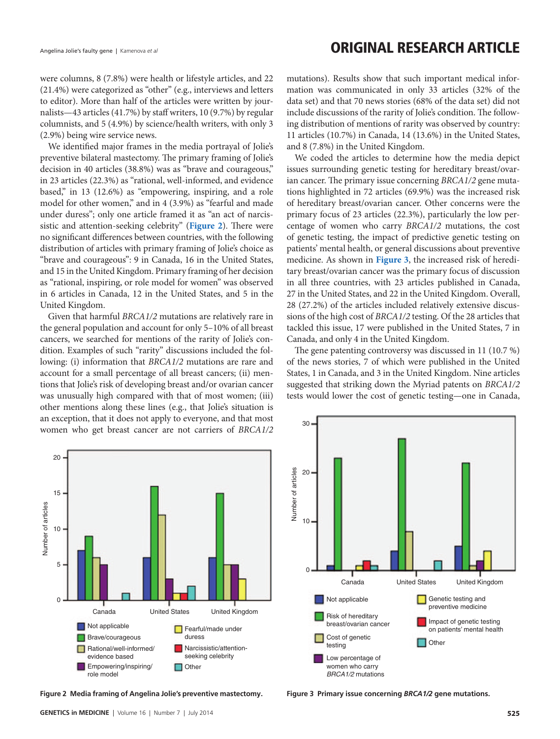### Angelina Jolie's faulty gene | Kamenova *et al* **Camenova et al Camenova et al Camenova** et al **Camenova** et al

were columns, 8 (7.8%) were health or lifestyle articles, and 22 (21.4%) were categorized as "other" (e.g., interviews and letters to editor). More than half of the articles were written by journalists—43 articles (41.7%) by staff writers, 10 (9.7%) by regular columnists, and 5 (4.9%) by science/health writers, with only 3 (2.9%) being wire service news.

We identified major frames in the media portrayal of Jolie's preventive bilateral mastectomy. The primary framing of Jolie's decision in 40 articles (38.8%) was as "brave and courageous," in 23 articles (22.3%) as "rational, well-informed, and evidence based," in 13 (12.6%) as "empowering, inspiring, and a role model for other women," and in 4 (3.9%) as "fearful and made under duress"; only one article framed it as "an act of narcissistic and attention-seeking celebrity" (**[Figure 2](#page-3-0)**). There were no significant differences between countries, with the following distribution of articles with primary framing of Jolie's choice as "brave and courageous": 9 in Canada, 16 in the United States, and 15 in the United Kingdom. Primary framing of her decision as "rational, inspiring, or role model for women" was observed in 6 articles in Canada, 12 in the United States, and 5 in the United Kingdom.

Given that harmful *BRCA1/2* mutations are relatively rare in the general population and account for only 5–10% of all breast cancers, we searched for mentions of the rarity of Jolie's condition. Examples of such "rarity" discussions included the following: (i) information that *BRCA1/2* mutations are rare and account for a small percentage of all breast cancers; (ii) mentions that Jolie's risk of developing breast and/or ovarian cancer was unusually high compared with that of most women; (iii) other mentions along these lines (e.g., that Jolie's situation is an exception, that it does not apply to everyone, and that most women who get breast cancer are not carriers of *BRCA1/2* mutations). Results show that such important medical information was communicated in only 33 articles (32% of the data set) and that 70 news stories (68% of the data set) did not include discussions of the rarity of Jolie's condition. The following distribution of mentions of rarity was observed by country: 11 articles (10.7%) in Canada, 14 (13.6%) in the United States, and 8 (7.8%) in the United Kingdom.

We coded the articles to determine how the media depict issues surrounding genetic testing for hereditary breast/ovarian cancer. The primary issue concerning *BRCA1/2* gene mutations highlighted in 72 articles (69.9%) was the increased risk of hereditary breast/ovarian cancer. Other concerns were the primary focus of 23 articles (22.3%), particularly the low percentage of women who carry *BRCA1/2* mutations, the cost of genetic testing, the impact of predictive genetic testing on patients' mental health, or general discussions about preventive medicine. As shown in **[Figure 3](#page-3-1)**, the increased risk of hereditary breast/ovarian cancer was the primary focus of discussion in all three countries, with 23 articles published in Canada, 27 in the United States, and 22 in the United Kingdom. Overall, 28 (27.2%) of the articles included relatively extensive discussions of the high cost of *BRCA1/2* testing. Of the 28 articles that tackled this issue, 17 were published in the United States, 7 in Canada, and only 4 in the United Kingdom.

The gene patenting controversy was discussed in 11 (10.7 %) of the news stories, 7 of which were published in the United States, 1 in Canada, and 3 in the United Kingdom. Nine articles suggested that striking down the Myriad patents on *BRCA1/2* tests would lower the cost of genetic testing—one in Canada,

<span id="page-3-0"></span>

**Figure 2 Media framing of Angelina Jolie's preventive mastectomy.**

<span id="page-3-1"></span>

**Figure 3 Primary issue concerning** *BRCA1/2* **gene mutations.**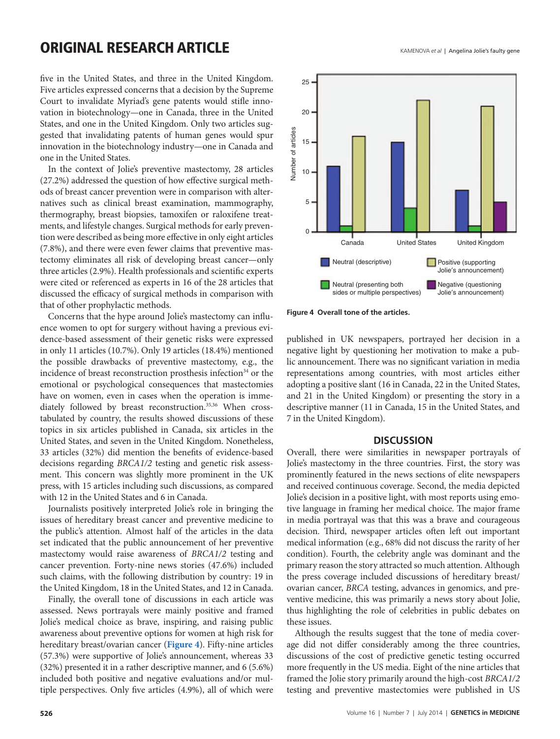## **ORIGINAL RESEARCH ARTICLE**

five in the United States, and three in the United Kingdom. Five articles expressed concerns that a decision by the Supreme Court to invalidate Myriad's gene patents would stifle innovation in biotechnology—one in Canada, three in the United States, and one in the United Kingdom. Only two articles suggested that invalidating patents of human genes would spur innovation in the biotechnology industry—one in Canada and one in the United States.

In the context of Jolie's preventive mastectomy, 28 articles (27.2%) addressed the question of how effective surgical methods of breast cancer prevention were in comparison with alternatives such as clinical breast examination, mammography, thermography, breast biopsies, tamoxifen or raloxifene treatments, and lifestyle changes. Surgical methods for early prevention were described as being more effective in only eight articles (7.8%), and there were even fewer claims that preventive mastectomy eliminates all risk of developing breast cancer—only three articles (2.9%). Health professionals and scientific experts were cited or referenced as experts in 16 of the 28 articles that discussed the efficacy of surgical methods in comparison with that of other prophylactic methods.

Concerns that the hype around Jolie's mastectomy can influence women to opt for surgery without having a previous evidence-based assessment of their genetic risks were expressed in only 11 articles (10.7%). Only 19 articles (18.4%) mentioned the possible drawbacks of preventive mastectomy, e.g., the incidence of breast reconstruction prosthesis infection<sup>34</sup> or the emotional or psychological consequences that mastectomies have on women, even in cases when the operation is immediately followed by breast reconstruction. 35,36 When crosstabulated by country, the results showed discussions of these topics in six articles published in Canada, six articles in the United States, and seven in the United Kingdom. Nonetheless, 33 articles (32%) did mention the benefits of evidence-based decisions regarding *BRCA1/2* testing and genetic risk assessment. This concern was slightly more prominent in the UK press, with 15 articles including such discussions, as compared with 12 in the United States and 6 in Canada.

Journalists positively interpreted Jolie's role in bringing the issues of hereditary breast cancer and preventive medicine to the public's attention. Almost half of the articles in the data set indicated that the public announcement of her preventive mastectomy would raise awareness of *BRCA1/2* testing and cancer prevention. Forty-nine news stories (47.6%) included such claims, with the following distribution by country: 19 in the United Kingdom, 18 in the United States, and 12 in Canada.

Finally, the overall tone of discussions in each article was assessed. News portrayals were mainly positive and framed Jolie's medical choice as brave, inspiring, and raising public awareness about preventive options for women at high risk for hereditary breast/ovarian cancer (**[Figure 4](#page-4-0)**). Fifty-nine articles (57.3%) were supportive of Jolie's announcement, whereas 33 (32%) presented it in a rather descriptive manner, and 6 (5.6%) included both positive and negative evaluations and/or multiple perspectives. Only five articles (4.9%), all of which were

<span id="page-4-0"></span>

**Figure 4 Overall tone of the articles.**

published in UK newspapers, portrayed her decision in a negative light by questioning her motivation to make a public announcement. There was no significant variation in media representations among countries, with most articles either adopting a positive slant (16 in Canada, 22 in the United States, and 21 in the United Kingdom) or presenting the story in a descriptive manner (11 in Canada, 15 in the United States, and 7 in the United Kingdom).

### **DISCUSSION**

Overall, there were similarities in newspaper portrayals of Jolie's mastectomy in the three countries. First, the story was prominently featured in the news sections of elite newspapers and received continuous coverage. Second, the media depicted Jolie's decision in a positive light, with most reports using emotive language in framing her medical choice. The major frame in media portrayal was that this was a brave and courageous decision. Third, newspaper articles often left out important medical information (e.g., 68% did not discuss the rarity of her condition). Fourth, the celebrity angle was dominant and the primary reason the story attracted so much attention. Although the press coverage included discussions of hereditary breast/ ovarian cancer, *BRCA* testing, advances in genomics, and preventive medicine, this was primarily a news story about Jolie, thus highlighting the role of celebrities in public debates on these issues.

Although the results suggest that the tone of media coverage did not differ considerably among the three countries, discussions of the cost of predictive genetic testing occurred more frequently in the US media. Eight of the nine articles that framed the Jolie story primarily around the high-cost *BRCA1/2* testing and preventive mastectomies were published in US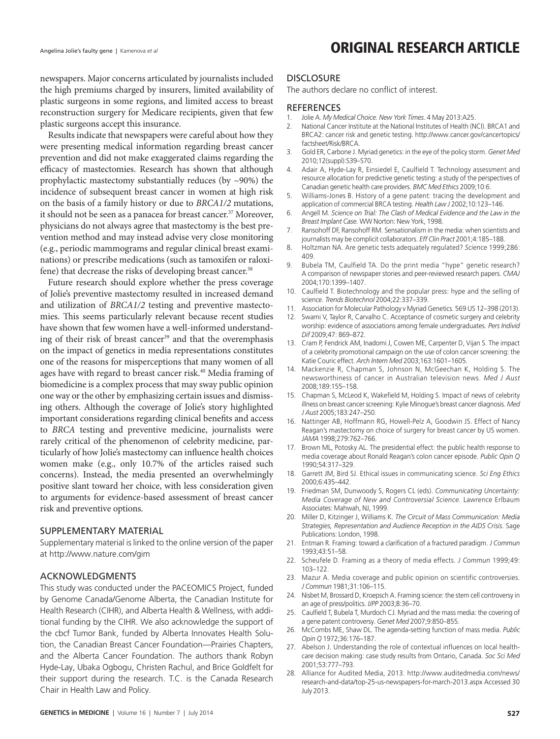Angelina Jolie's faulty gene | Kamenova *et al* **Camenova et al Camenova et al Camenova** et al **Camenova** et al

newspapers. Major concerns articulated by journalists included the high premiums charged by insurers, limited availability of plastic surgeons in some regions, and limited access to breast reconstruction surgery for Medicare recipients, given that few plastic surgeons accept this insurance.

Results indicate that newspapers were careful about how they were presenting medical information regarding breast cancer prevention and did not make exaggerated claims regarding the efficacy of mastectomies. Research has shown that although prophylactic mastectomy substantially reduces (by  $\sim$ 90%) the incidence of subsequent breast cancer in women at high risk on the basis of a family history or due to *BRCA1/2* mutations, it should not be seen as a panacea for breast cancer.<sup>37</sup> Moreover, physicians do not always agree that mastectomy is the best prevention method and may instead advise very close monitoring (e.g., periodic mammograms and regular clinical breast examinations) or prescribe medications (such as tamoxifen or raloxifene) that decrease the risks of developing breast cancer.<sup>38</sup>

Future research should explore whether the press coverage of Jolie's preventive mastectomy resulted in increased demand and utilization of *BRCA1/2* testing and preventive mastectomies. This seems particularly relevant because recent studies have shown that few women have a well-informed understanding of their risk of breast cancer<sup>39</sup> and that the overemphasis on the impact of genetics in media representations constitutes one of the reasons for misperceptions that many women of all ages have with regard to breast cancer risk.<sup>40</sup> Media framing of biomedicine is a complex process that may sway public opinion one way or the other by emphasizing certain issues and dismissing others. Although the coverage of Jolie's story highlighted important considerations regarding clinical benefits and access to *BRCA* testing and preventive medicine, journalists were rarely critical of the phenomenon of celebrity medicine, particularly of how Jolie's mastectomy can influence health choices women make (e.g., only 10.7% of the articles raised such concerns). Instead, the media presented an overwhelmingly positive slant toward her choice, with less consideration given to arguments for evidence-based assessment of breast cancer risk and preventive options.

#### SUPPLEMENTARY MATERIAL

Supplementary material is linked to the online version of the paper at<http://www.nature.com/gim>

### ACKNOWLEDGMENTS

This study was conducted under the PACEOMICS Project, funded by Genome Canada/Genome Alberta, the Canadian Institute for Health Research (CIHR), and Alberta Health & Wellness, with additional funding by the CIHR. We also acknowledge the support of the cbcf Tumor Bank, funded by Alberta Innovates Health Solution, the Canadian Breast Cancer Foundation—Prairies Chapters, and the Alberta Cancer Foundation. The authors thank Robyn Hyde-Lay, Ubaka Ogbogu, Christen Rachul, and Brice Goldfelt for their support during the research. T.C. is the Canada Research Chair in Health Law and Policy.

### **DISCLOSURE**

The authors declare no conflict of interest.

#### **REFERENCES**

- 1. Jolie A. *My Medical Choice. New York Times*. 4 May 2013:A25.
- 2. National Cancer Institute at the National Institutes of Health (NCI). BRCA1 and BRCA2: cancer risk and genetic testing. [http://www.cancer.gov/cancertopics/](http://www.cancer.gov/cancertopics/factsheet/Risk/BRCA) [factsheet/Risk/BRCA](http://www.cancer.gov/cancertopics/factsheet/Risk/BRCA).
- 3. Gold ER, Carbone J. Myriad genetics: in the eye of the policy storm. *Genet Med* 2010;12(suppl):S39–S70.
- 4. Adair A, Hyde-Lay R, Einsiedel E, Caulfield T. Technology assessment and resource allocation for predictive genetic testing: a study of the perspectives of Canadian genetic health care providers. *BMC Med Ethics* 2009;10:6.
- 5. Williams-Jones B. History of a gene patent: tracing the development and application of commercial BRCA testing. *Health Law J* 2002;10:123–146.
- 6. Angell M. *Science on Trial: The Clash of Medical Evidence and the Law in the Breast Implant Case.* WW Norton: New York, 1998.
- 7. Ransohoff DF, Ransohoff RM. Sensationalism in the media: when scientists and journalists may be complicit collaborators. *Eff Clin Pract* 2001;4:185–188.
- 8. Holtzman NA. Are genetic tests adequately regulated? *Science* 1999;286: 409.
- 9. Bubela TM, Caulfield TA. Do the print media "hype" genetic research? A comparison of newspaper stories and peer-reviewed research papers. *CMAJ* 2004;170:1399–1407.
- 10. Caulfield T. Biotechnology and the popular press: hype and the selling of science. *Trends Biotechnol* 2004;22:337–339.
- 11. Association for Molecular Pathology v Myriad Genetics. 569 US 12–398 (2013).
- 12. Swami V, Taylor R, Carvalho C. Acceptance of cosmetic surgery and celebrity worship: evidence of associations among female undergraduates. *Pers Individ Dif* 2009;47: 869–872.
- 13. Cram P, Fendrick AM, Inadomi J, Cowen ME, Carpenter D, Vijan S. The impact of a celebrity promotional campaign on the use of colon cancer screening: the Katie Couric effect. *Arch Intern Med* 2003;163:1601–1605.
- 14. Mackenzie R, Chapman S, Johnson N, McGeechan K, Holding S. The newsworthiness of cancer in Australian television news. *Med J Aust* 2008;189:155–158.
- 15. Chapman S, McLeod K, Wakefield M, Holding S. Impact of news of celebrity illness on breast cancer screening: Kylie Minogue's breast cancer diagnosis. *Med J Aust* 2005;183:247–250.
- 16. Nattinger AB, Hoffmann RG, Howell-Pelz A, Goodwin JS. Effect of Nancy Reagan's mastectomy on choice of surgery for breast cancer by US women. *JAMA* 1998;279:762–766.
- 17. Brown ML, Potosky AL. The presidential effect: the public health response to media coverage about Ronald Reagan's colon cancer episode. *Public Opin Q* 1990;54:317–329.
- 18. Garrett JM, Bird SJ. Ethical issues in communicating science. *Sci Eng Ethics* 2000;6:435–442.
- 19. Friedman SM, Dunwoody S, Rogers CL (eds). *Communicating Uncertainty: Media Coverage of New and Controversial Science.* Lawrence Erlbaum Associates: Mahwah, NJ, 1999.
- 20. Miller D, Kitzinger J, Williams K. *The Circuit of Mass Communication: Media Strategies, Representation and Audience Reception in the AIDS Crisis.* Sage Publications: London, 1998.
- 21. Entman R. Framing: toward a clarification of a fractured paradigm. *J Commun* 1993;43:51–58.
- 22. Scheufele D. Framing as a theory of media effects. *J Commun* 1999;49: 103–122.
- 23. Mazur A. Media coverage and public opinion on scientific controversies. *J Commun* 1981;31:106–115.
- 24. Nisbet M, Brossard D, Kroepsch A. Framing science: the stem cell controversy in an age of press/politics. *IJPP* 2003;8:36–70.
- 25. Caulfield T, Bubela T, Murdoch CJ. Myriad and the mass media: the covering of a gene patent controversy. *Genet Med* 2007;9:850–855.
- 26. McCombs ME, Shaw DL. The agenda-setting function of mass media. *Public Opin Q* 1972;36:176–187.
- 27. Abelson J. Understanding the role of contextual influences on local healthcare decision making: case study results from Ontario, Canada. *Soc Sci Med* 2001;53:777–793.
- 28. Alliance for Audited Media, 2013. [http://www.auditedmedia.com/news/](http://www.auditedmedia.com/news/research-and-data/top-25-us-newspapers-for-march-2013.aspx) [research-and-data/top-25-us-newspapers-for-march-2013.aspx](http://www.auditedmedia.com/news/research-and-data/top-25-us-newspapers-for-march-2013.aspx) Accessed 30 July 2013.